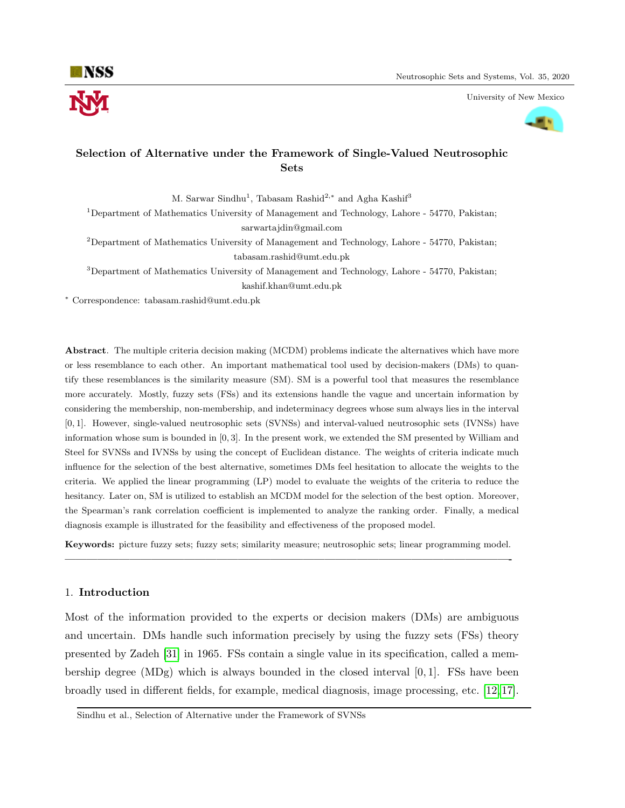

University of New Mexico



# Selection of Alternative under the Framework of Single-Valued Neutrosophic Sets

M. Sarwar Sindhu<sup>1</sup>, Tabasam Rashid<sup>2,\*</sup> and Agha Kashif<sup>3</sup>

<sup>1</sup>Department of Mathematics University of Management and Technology, Lahore - 54770, Pakistan; sarwartajdin@gmail.com

 $2$ Department of Mathematics University of Management and Technology, Lahore - 54770, Pakistan; tabasam.rashid@umt.edu.pk

<sup>3</sup>Department of Mathematics University of Management and Technology, Lahore - 54770, Pakistan;

kashif.khan@umt.edu.pk

<sup>∗</sup> Correspondence: tabasam.rashid@umt.edu.pk

Abstract. The multiple criteria decision making (MCDM) problems indicate the alternatives which have more or less resemblance to each other. An important mathematical tool used by decision-makers (DMs) to quantify these resemblances is the similarity measure (SM). SM is a powerful tool that measures the resemblance more accurately. Mostly, fuzzy sets (FSs) and its extensions handle the vague and uncertain information by considering the membership, non-membership, and indeterminacy degrees whose sum always lies in the interval [0, 1]. However, single-valued neutrosophic sets (SVNSs) and interval-valued neutrosophic sets (IVNSs) have information whose sum is bounded in [0, 3]. In the present work, we extended the SM presented by William and Steel for SVNSs and IVNSs by using the concept of Euclidean distance. The weights of criteria indicate much influence for the selection of the best alternative, sometimes DMs feel hesitation to allocate the weights to the criteria. We applied the linear programming (LP) model to evaluate the weights of the criteria to reduce the hesitancy. Later on, SM is utilized to establish an MCDM model for the selection of the best option. Moreover, the Spearman's rank correlation coefficient is implemented to analyze the ranking order. Finally, a medical diagnosis example is illustrated for the feasibility and effectiveness of the proposed model.

Keywords: picture fuzzy sets; fuzzy sets; similarity measure; neutrosophic sets; linear programming model. —————————————————————————————————————————-

### 1. Introduction

Most of the information provided to the experts or decision makers (DMs) are ambiguous and uncertain. DMs handle such information precisely by using the fuzzy sets (FSs) theory presented by Zadeh [\[31\]](#page-15-0) in 1965. FSs contain a single value in its specification, called a membership degree (MDg) which is always bounded in the closed interval  $[0, 1]$ . FSs have been broadly used in different fields, for example, medical diagnosis, image processing, etc. [\[12,](#page-14-0) [17\]](#page-14-1).

Sindhu et al., Selection of Alternative under the Framework of SVNSs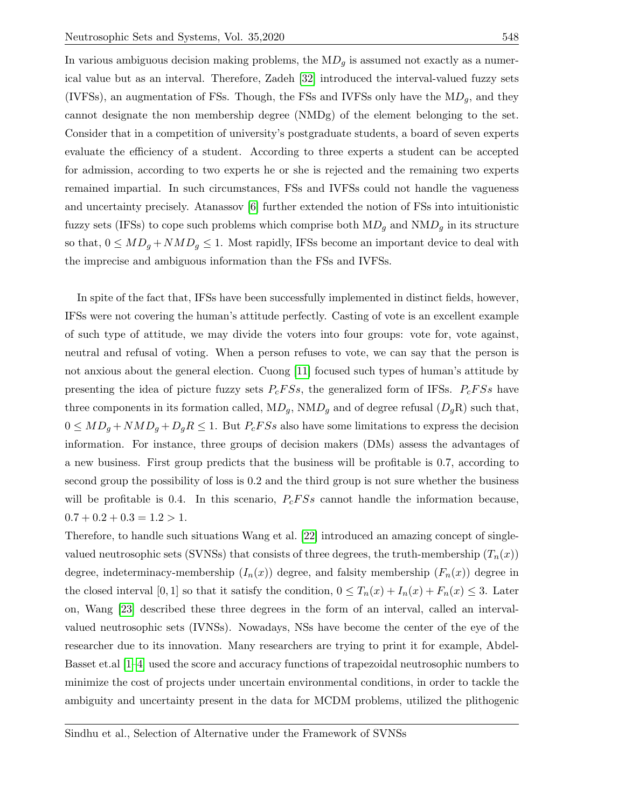In various ambiguous decision making problems, the  $MD<sub>g</sub>$  is assumed not exactly as a numerical value but as an interval. Therefore, Zadeh [\[32\]](#page-15-1) introduced the interval-valued fuzzy sets (IVFSs), an augmentation of FSs. Though, the FSs and IVFSs only have the  $MD_q$ , and they cannot designate the non membership degree (NMDg) of the element belonging to the set. Consider that in a competition of university's postgraduate students, a board of seven experts evaluate the efficiency of a student. According to three experts a student can be accepted for admission, according to two experts he or she is rejected and the remaining two experts remained impartial. In such circumstances, FSs and IVFSs could not handle the vagueness and uncertainty precisely. Atanassov [\[6\]](#page-14-2) further extended the notion of FSs into intuitionistic fuzzy sets (IFSs) to cope such problems which comprise both  $MD<sub>g</sub>$  and  $NMD<sub>g</sub>$  in its structure so that,  $0 \leq MD_g + NMD_g \leq 1$ . Most rapidly, IFSs become an important device to deal with the imprecise and ambiguous information than the FSs and IVFSs.

In spite of the fact that, IFSs have been successfully implemented in distinct fields, however, IFSs were not covering the human's attitude perfectly. Casting of vote is an excellent example of such type of attitude, we may divide the voters into four groups: vote for, vote against, neutral and refusal of voting. When a person refuses to vote, we can say that the person is not anxious about the general election. Cuong [\[11\]](#page-14-3) focused such types of human's attitude by presenting the idea of picture fuzzy sets  $P_c F S s$ , the generalized form of IFSs.  $P_c F S s$  have three components in its formation called,  $MD_g$ ,  $NMD_g$  and of degree refusal  $(D_gR)$  such that,  $0 \leq MD_g + NMD_g + D_gR \leq 1$ . But  $P_c F S s$  also have some limitations to express the decision information. For instance, three groups of decision makers (DMs) assess the advantages of a new business. First group predicts that the business will be profitable is 0.7, according to second group the possibility of loss is 0.2 and the third group is not sure whether the business will be profitable is 0.4. In this scenario,  $P_cFSs$  cannot handle the information because,  $0.7 + 0.2 + 0.3 = 1.2 > 1.$ 

Therefore, to handle such situations Wang et al. [\[22\]](#page-15-2) introduced an amazing concept of singlevalued neutrosophic sets (SVNSs) that consists of three degrees, the truth-membership  $(T_n(x))$ degree, indeterminacy-membership  $(I_n(x))$  degree, and falsity membership  $(F_n(x))$  degree in the closed interval [0, 1] so that it satisfy the condition,  $0 \leq T_n(x) + I_n(x) + F_n(x) \leq 3$ . Later on, Wang [\[23\]](#page-15-3) described these three degrees in the form of an interval, called an intervalvalued neutrosophic sets (IVNSs). Nowadays, NSs have become the center of the eye of the researcher due to its innovation. Many researchers are trying to print it for example, Abdel-Basset et.al [\[1](#page-14-4)[–4\]](#page-14-5) used the score and accuracy functions of trapezoidal neutrosophic numbers to minimize the cost of projects under uncertain environmental conditions, in order to tackle the ambiguity and uncertainty present in the data for MCDM problems, utilized the plithogenic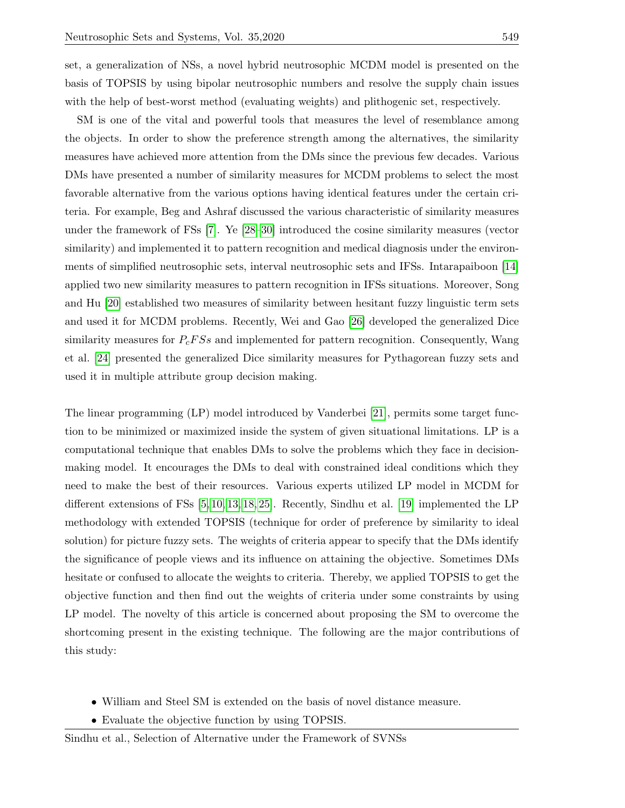set, a generalization of NSs, a novel hybrid neutrosophic MCDM model is presented on the basis of TOPSIS by using bipolar neutrosophic numbers and resolve the supply chain issues with the help of best-worst method (evaluating weights) and plithogenic set, respectively.

SM is one of the vital and powerful tools that measures the level of resemblance among the objects. In order to show the preference strength among the alternatives, the similarity measures have achieved more attention from the DMs since the previous few decades. Various DMs have presented a number of similarity measures for MCDM problems to select the most favorable alternative from the various options having identical features under the certain criteria. For example, Beg and Ashraf discussed the various characteristic of similarity measures under the framework of FSs [\[7\]](#page-14-6). Ye [\[28–](#page-15-4)[30\]](#page-15-5) introduced the cosine similarity measures (vector similarity) and implemented it to pattern recognition and medical diagnosis under the environments of simplified neutrosophic sets, interval neutrosophic sets and IFSs. Intarapaiboon [\[14\]](#page-14-7) applied two new similarity measures to pattern recognition in IFSs situations. Moreover, Song and Hu [\[20\]](#page-15-6) established two measures of similarity between hesitant fuzzy linguistic term sets and used it for MCDM problems. Recently, Wei and Gao [\[26\]](#page-15-7) developed the generalized Dice similarity measures for  $P_c$ FSs and implemented for pattern recognition. Consequently, Wang et al. [\[24\]](#page-15-8) presented the generalized Dice similarity measures for Pythagorean fuzzy sets and used it in multiple attribute group decision making.

The linear programming (LP) model introduced by Vanderbei [\[21\]](#page-15-9), permits some target function to be minimized or maximized inside the system of given situational limitations. LP is a computational technique that enables DMs to solve the problems which they face in decisionmaking model. It encourages the DMs to deal with constrained ideal conditions which they need to make the best of their resources. Various experts utilized LP model in MCDM for different extensions of FSs [\[5,](#page-14-8) [10,](#page-14-9) [13,](#page-14-10) [18,](#page-14-11) [25\]](#page-15-10). Recently, Sindhu et al. [\[19\]](#page-15-11) implemented the LP methodology with extended TOPSIS (technique for order of preference by similarity to ideal solution) for picture fuzzy sets. The weights of criteria appear to specify that the DMs identify the significance of people views and its influence on attaining the objective. Sometimes DMs hesitate or confused to allocate the weights to criteria. Thereby, we applied TOPSIS to get the objective function and then find out the weights of criteria under some constraints by using LP model. The novelty of this article is concerned about proposing the SM to overcome the shortcoming present in the existing technique. The following are the major contributions of this study:

- William and Steel SM is extended on the basis of novel distance measure.
- Evaluate the objective function by using TOPSIS.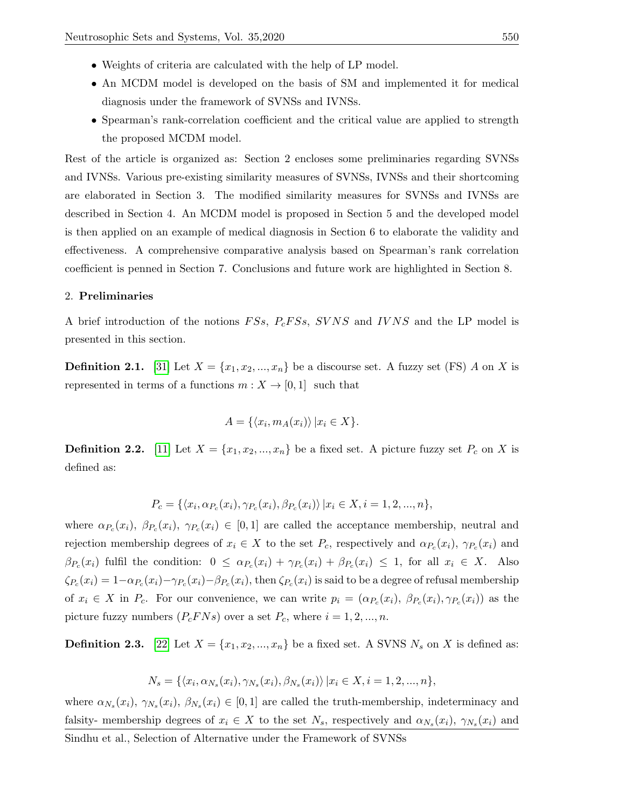- Weights of criteria are calculated with the help of LP model.
- An MCDM model is developed on the basis of SM and implemented it for medical diagnosis under the framework of SVNSs and IVNSs.
- Spearman's rank-correlation coefficient and the critical value are applied to strength the proposed MCDM model.

Rest of the article is organized as: Section 2 encloses some preliminaries regarding SVNSs and IVNSs. Various pre-existing similarity measures of SVNSs, IVNSs and their shortcoming are elaborated in Section 3. The modified similarity measures for SVNSs and IVNSs are described in Section 4. An MCDM model is proposed in Section 5 and the developed model is then applied on an example of medical diagnosis in Section 6 to elaborate the validity and effectiveness. A comprehensive comparative analysis based on Spearman's rank correlation coefficient is penned in Section 7. Conclusions and future work are highlighted in Section 8.

## 2. Preliminaries

A brief introduction of the notions  $F Ss$ ,  $P_c F Ss$ ,  $S V N S$  and  $I V N S$  and the LP model is presented in this section.

**Definition 2.1.** [\[31\]](#page-15-0) Let  $X = \{x_1, x_2, ..., x_n\}$  be a discourse set. A fuzzy set (FS) A on X is represented in terms of a functions  $m : X \to [0, 1]$  such that

$$
A = \{ \langle x_i, m_A(x_i) \rangle \, | x_i \in X \}.
$$

**Definition 2.2.** [\[11\]](#page-14-3) Let  $X = \{x_1, x_2, ..., x_n\}$  be a fixed set. A picture fuzzy set  $P_c$  on X is defined as:

$$
P_c = \{ \langle x_i, \alpha_{P_c}(x_i), \gamma_{P_c}(x_i), \beta_{P_c}(x_i) \rangle \, | x_i \in X, i = 1, 2, ..., n \},\
$$

where  $\alpha_{P_c}(x_i)$ ,  $\beta_{P_c}(x_i)$ ,  $\gamma_{P_c}(x_i) \in [0,1]$  are called the acceptance membership, neutral and rejection membership degrees of  $x_i \in X$  to the set  $P_c$ , respectively and  $\alpha_{P_c}(x_i)$ ,  $\gamma_{P_c}(x_i)$  and  $\beta_{P_c}(x_i)$  fulfil the condition:  $0 \leq \alpha_{P_c}(x_i) + \gamma_{P_c}(x_i) + \beta_{P_c}(x_i) \leq 1$ , for all  $x_i \in X$ . Also  $\zeta_{P_c}(x_i) = 1-\alpha_{P_c}(x_i)-\gamma_{P_c}(x_i)-\beta_{P_c}(x_i)$ , then  $\zeta_{P_c}(x_i)$  is said to be a degree of refusal membership of  $x_i \in X$  in  $P_c$ . For our convenience, we can write  $p_i = (\alpha_{P_c}(x_i), \beta_{P_c}(x_i), \gamma_{P_c}(x_i))$  as the picture fuzzy numbers  $(P_c F N s)$  over a set  $P_c$ , where  $i = 1, 2, ..., n$ .

**Definition 2.3.** [\[22\]](#page-15-2) Let  $X = \{x_1, x_2, ..., x_n\}$  be a fixed set. A SVNS  $N_s$  on X is defined as:

$$
N_s = \{ \langle x_i, \alpha_{N_s}(x_i), \gamma_{N_s}(x_i), \beta_{N_s}(x_i) \rangle \ | x_i \in X, i = 1, 2, ..., n \},\
$$

where  $\alpha_{N_s}(x_i)$ ,  $\gamma_{N_s}(x_i)$ ,  $\beta_{N_s}(x_i) \in [0,1]$  are called the truth-membership, indeterminacy and falsity- membership degrees of  $x_i \in X$  to the set  $N_s$ , respectively and  $\alpha_{N_s}(x_i)$ ,  $\gamma_{N_s}(x_i)$  and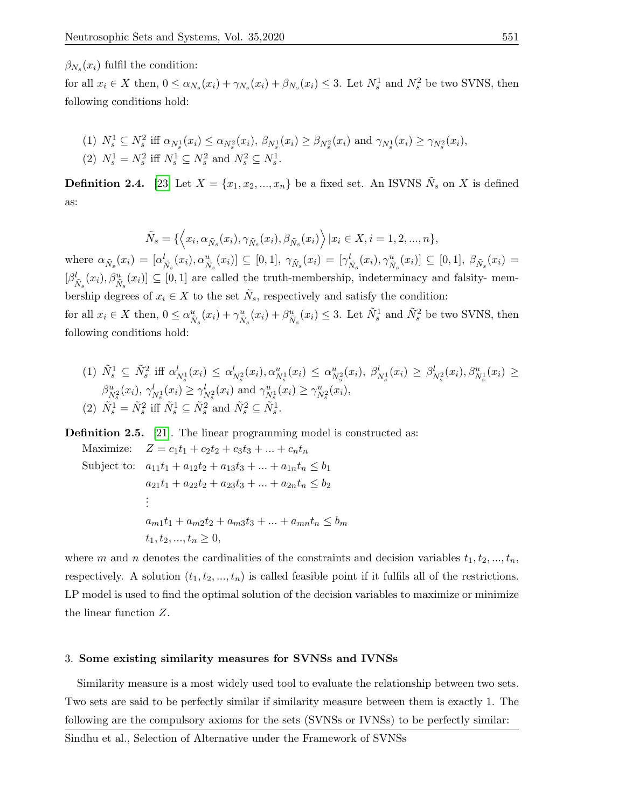$\beta_{N_s}(x_i)$  fulfil the condition:

for all  $x_i \in X$  then,  $0 \le \alpha_{N_s}(x_i) + \gamma_{N_s}(x_i) + \beta_{N_s}(x_i) \le 3$ . Let  $N_s^1$  and  $N_s^2$  be two SVNS, then following conditions hold:

(1) 
$$
N_s^1 \subseteq N_s^2
$$
 iff  $\alpha_{N_s^1}(x_i) \leq \alpha_{N_s^2}(x_i)$ ,  $\beta_{N_s^1}(x_i) \geq \beta_{N_s^2}(x_i)$  and  $\gamma_{N_s^1}(x_i) \geq \gamma_{N_s^2}(x_i)$ ,  
(2)  $N_s^1 = N_s^2$  iff  $N_s^1 \subseteq N_s^2$  and  $N_s^2 \subseteq N_s^1$ .

**Definition 2.4.** [\[23\]](#page-15-3) Let  $X = \{x_1, x_2, ..., x_n\}$  be a fixed set. An ISVNS  $N_s$  on X is defined as:

$$
\tilde{N}_s = \{ \left\langle x_i, \alpha_{\tilde{N}_s}(x_i), \gamma_{\tilde{N}_s}(x_i), \beta_{\tilde{N}_s}(x_i) \right\rangle | x_i \in X, i = 1, 2, ..., n \},
$$

where  $\alpha_{\tilde{N}_s}(x_i) = [\alpha_{\tilde{N}_s}^l(x_i), \alpha_{\tilde{N}_s}^u(x_i)] \subseteq [0,1], \ \gamma_{\tilde{N}_s}(x_i) = [\gamma_{\tilde{N}_s}^l(x_i), \gamma_{\tilde{N}_s}^u(x_i)] \subseteq [0,1], \ \beta_{\tilde{N}_s}(x_i) =$  $[\beta^l_{\tilde{N}_s}(x_i), \beta^u_{\tilde{N}_s}(x_i)] \subseteq [0,1]$  are called the truth-membership, indeterminacy and falsity- membership degrees of  $x_i \in X$  to the set  $N_s$ , respectively and satisfy the condition: for all  $x_i \in X$  then,  $0 \le \alpha_{\tilde{N}_s}^u(x_i) + \gamma_{\tilde{N}_s}^u(x_i) + \beta_{\tilde{N}_s}^u(x_i) \le 3$ . Let  $\tilde{N}_s^1$  and  $\tilde{N}_s^2$  be two SVNS, then following conditions hold:

(1) 
$$
\tilde{N}_s^1 \subseteq \tilde{N}_s^2
$$
 iff  $\alpha_{N_s^1}^1(x_i) \leq \alpha_{N_s^2}^1(x_i), \alpha_{N_s^1}^u(x_i) \leq \alpha_{N_s^2}^u(x_i), \beta_{N_s^1}^1(x_i) \geq \beta_{N_s^2}^l(x_i), \beta_{N_s^1}^u(x_i) \geq \beta_{N_s^2}^u(x_i), \gamma_{N_s^1}^l(x_i) \geq \gamma_{N_s^2}^l(x_i)$   
\n(2)  $\tilde{N}_s^1 = \tilde{N}_s^2$  iff  $\tilde{N}_s^1 \subseteq \tilde{N}_s^2$  and  $\tilde{N}_s^2 \subseteq \tilde{N}_s^1$ .

Definition 2.5. [\[21\]](#page-15-9). The linear programming model is constructed as:

Maximize:  $Z = c_1t_1 + c_2t_2 + c_3t_3 + ... + c_nt_n$ Subject to:  $a_{11}t_1 + a_{12}t_2 + a_{13}t_3 + ... + a_{1n}t_n \leq b_1$  $a_{21}t_1 + a_{22}t_2 + a_{23}t_3 + \ldots + a_{2n}t_n \leq b_2$ . . .  $a_{m1}t_1 + a_{m2}t_2 + a_{m3}t_3 + \ldots + a_{mn}t_n \leq b_m$  $t_1, t_2, ..., t_n \geq 0,$ 

where m and n denotes the cardinalities of the constraints and decision variables  $t_1, t_2, ..., t_n$ , respectively. A solution  $(t_1, t_2, ..., t_n)$  is called feasible point if it fulfils all of the restrictions. LP model is used to find the optimal solution of the decision variables to maximize or minimize the linear function Z.

## 3. Some existing similarity measures for SVNSs and IVNSs

Similarity measure is a most widely used tool to evaluate the relationship between two sets. Two sets are said to be perfectly similar if similarity measure between them is exactly 1. The following are the compulsory axioms for the sets (SVNSs or IVNSs) to be perfectly similar: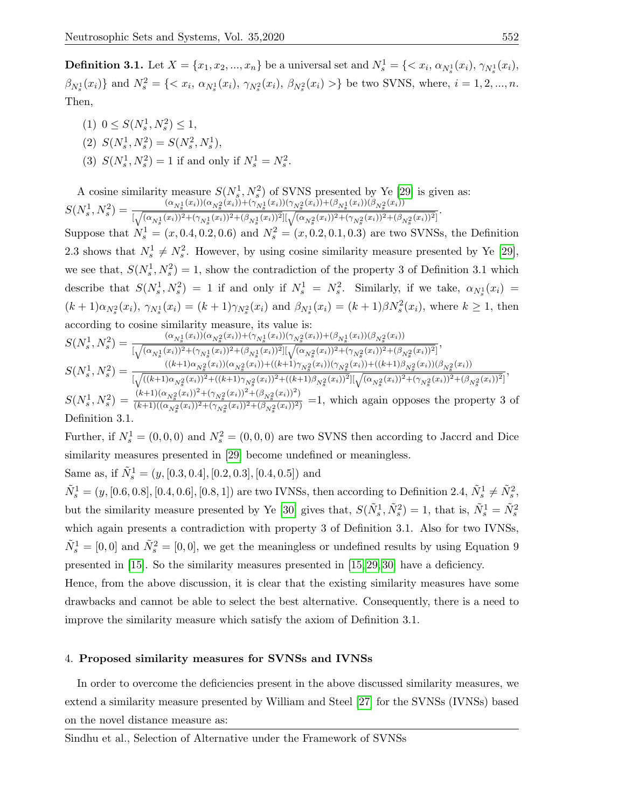**Definition 3.1.** Let  $X = \{x_1, x_2, ..., x_n\}$  be a universal set and  $N_s^1 = \{ \langle x_i, \alpha_{N_s^1}(x_i), \gamma_{N_s^1}(x_i), \alpha_{N_s^2}(x_i), \alpha_{N_s^2}(x_i), \alpha_{N_s^3}(x_i), \alpha_{N_s^3}(x_i), \alpha_{N_s^3}(x_i), \alpha_{N_s^3}(x_i), \alpha_{N_s^3}(x_i), \alpha_{N_s^3}(x_i), \alpha_{N_s^3}(x_i), \alpha_{N_s^3}(x_i), \alpha_{N_s^3}(x_i),$  $\beta_{N_s^1}(x_i)$ } and  $N_s^2 = \{ \langle x_i, \alpha_{N_s^1}(x_i), \gamma_{N_s^2}(x_i), \beta_{N_s^2}(x_i) \rangle \}$  be two SVNS, where,  $i = 1, 2, ..., n$ . Then,

- (1)  $0 \leq S(N_s^1, N_s^2) \leq 1$ ,
- (2)  $S(N_s^1, N_s^2) = S(N_s^2, N_s^1),$
- (3)  $S(N_s^1, N_s^2) = 1$  if and only if  $N_s^1 = N_s^2$ .

A cosine similarity measure  $S(N_s^1, N_s^2)$  of SVNS presented by Ye [\[29\]](#page-15-12) is given as:  $_s$  ,  $^{1}$   $_s$  $S(N_s^1, N_s^2) = \frac{(\alpha_{N_s^1}(x_i))(\alpha_{N_s^2}(x_i)) + (\gamma_{N_s^1}(x_i))(\gamma_{N_s^2}(x_i)) + (\beta_{N_s^1}(x_i))(\beta_{N_s^2}(x_i))}{\sqrt{(\alpha_{N_s^1}(x_i))^2 + (\alpha_{N_s^2}(x_i))^2 + (\beta_{N_s^2}(x_i))^2} \sqrt{(\alpha_{N_s^2}(x_i))^2 + (\beta_{N_s^2}(x_i))^2} \sqrt{(\alpha_{N_s^2}(x_i))^2} \sqrt{(\alpha_{N_s^2}(x_i))^2} \sqrt{(\alpha_{N_s^2}(x_i))^2}$  $\frac{(\sqrt{\alpha_{N_s^1}(x_i))^2+(\gamma_{N_s^2}(x_i))^2+(\beta_{N_s^1}(x_i))^2}[(\sqrt{(\alpha_{N_s^2}(x_i))^2+(\gamma_{N_s^2}(x_i))^2+(\beta_{N_s^2}(x_i))^2+(\beta_{N_s^2}(x_i))^2})]^2}{\sqrt{(\alpha_{N_s^1}(x_i))^2+(\beta_{N_s^1}(x_i))^2+(\beta_{N_s^1}(x_i))^2+(\beta_{N_s^2}(x_i))^2+(\beta_{N_s^2}(x_i))^2+(\beta_{N_s^2}(x_i))^2})}.$ Suppose that  $N_s^1 = (x, 0.4, 0.2, 0.6)$  and  $N_s^2 = (x, 0.2, 0.1, 0.3)$  are two SVNSs, the Definition 2.3 shows that  $N_s^1 \neq N_s^2$ . However, by using cosine similarity measure presented by Ye [\[29\]](#page-15-12), we see that,  $S(N_s^1, N_s^2) = 1$ , show the contradiction of the property 3 of Definition 3.1 which describe that  $S(N_s^1, N_s^2) = 1$  if and only if  $N_s^1 = N_s^2$ . Similarly, if we take,  $\alpha_{N_s^1}(x_i) =$  $(k+1)\alpha_{N_s^2}(x_i), \gamma_{N_s^1}(x_i) = (k+1)\gamma_{N_s^2}(x_i)$  and  $\beta_{N_s^1}(x_i) = (k+1)\beta_{N_s^2}(x_i)$ , where  $k \ge 1$ , then according to cosine similarity measure, its value is:  $S(N_s^1, N_s^2) = \frac{(\alpha_{N_s^1}(x_i))(\alpha_{N_s^2}(x_i)) + (\gamma_{N_s^1}(x_i))(\gamma_{N_s^2}(x_i)) + (\beta_{N_s^1}(x_i))(\beta_{N_s^2}(x_i))}{\sqrt{(\alpha_{N_s^1}(x_i))^2 + (\alpha_{N_s^2}(x_i))^2 + (\beta_{N_s^2}(x_i))^2} \sqrt{(\alpha_{N_s^2}(x_i))^2 + (\beta_{N_s^2}(x_i))^2} + (\beta_{N_s^2}(x_i))^2}$  $\frac{(\alpha_{N_s^1}(\omega_i))(\alpha_{N_s^2}(\omega_i)) + (\gamma_{N_s^1}(\omega_i))(\gamma_{N_s^2}(\omega_i)) + (\beta_{N_s^1}(\omega_i))(\gamma_{N_s^2}(\omega_i))}{[\sqrt{(\alpha_{N_s^1}(x_i))^2 + (\gamma_{N_s^1}(x_i))^2}](\sqrt{(\alpha_{N_s^2}(x_i))^2 + (\gamma_{N_s^2}(x_i))^2} + (\beta_{N_s^2}(\omega_i))(\gamma_{N_s^2}(\omega_i))}]}$  $S(N_s^1, N_s^2) = \frac{((k+1)\alpha_{N_s^2}(x_i))(\alpha_{N_s^2}(x_i)) + ((k+1)\gamma_{N_s^2}(x_i))(\gamma_{N_s^2}(x_i)) + ((k+1)\beta_{N_s^2}(x_i))(\beta_{N_s^2}(x_i))}{\sqrt{((k+1)\alpha_{N_s^2}(x_i))^2 + ((k+1)\alpha_{N_s^2}(x_i))^2 + ((k+1)\alpha_{N_s^2}(x_i))^2} \sqrt{(\alpha_{N_s^2}(x_i))^2 + (\alpha_{N_s^2}(x_i))^2} \sqrt{(\alpha_{N_s^2}(x_i))^2} \sqrt{(\alpha_{N_s^2}(x_i))^2}$  $\frac{\sqrt{(k+1)\alpha_{N_s^2}(\omega_i)/(\alpha_{N_s^2}(\omega_i))+(\kappa+1)\gamma_{N_s^2}(\omega_i)/(\gamma_{N_s^2}(\omega_i))+(\kappa+1)\beta_{N_s^2}(\omega_i))^2} {\sqrt{((k+1)\alpha_{N_s^2}(x_i))^2 + ((k+1)\beta_{N_s^2}(x_i))^2} \mathbb{I}(\sqrt{(\alpha_{N_s^2}(x_i))^2 + (\gamma_{N_s^2}(x_i))^2 + (\beta_{N_s^2}(x_i))^2})},$  $S(N_s^1, N_s^2) = \frac{(k+1)(\alpha_{N_s^2}(x_i))^2 + (\gamma_{N_s^2}(x_i))^2 + (\beta_{N_s^2}(x_i))^2}{(k+1)((\alpha_{N_s^2}(x_i))^2 + (\gamma_{N_s^2}(x_i))^2 + (\beta_{N_s^2}(x_i))^2)}$  $\frac{(\sqrt{(\kappa+1)(\kappa_1 k_s^2)(2)})^2 + (\sqrt{N_s^2}(\kappa_1))^2 + (\sqrt{N_s^2}(\kappa_1))^2}{(k+1)((\alpha_{N_s^2}(x_i))^2 + (\gamma_{N_s^2}(x_i))^2 + (\beta_{N_s^2}(x_i))^2)} = 1$ , which again opposes the property 3 of Definition 3.1.

Further, if  $N_s^1 = (0, 0, 0)$  and  $N_s^2 = (0, 0, 0)$  are two SVNS then according to Jaccrd and Dice similarity measures presented in [\[29\]](#page-15-12) become undefined or meaningless.

Same as, if  $\tilde{N}_s^1 = (y, [0.3, 0.4], [0.2, 0.3], [0.4, 0.5])$  and

 $\tilde{N}_s^1 = (y, [0.6, 0.8], [0.4, 0.6], [0.8, 1])$  are two IVNSs, then according to Definition 2.4,  $\tilde{N}_s^1 \neq \tilde{N}_s^2$ , but the similarity measure presented by Ye [\[30\]](#page-15-5) gives that,  $S(\tilde{N}_s^1, \tilde{N}_s^2) = 1$ , that is,  $\tilde{N}_s^1 = \tilde{N}_s^2$ which again presents a contradiction with property 3 of Definition 3.1. Also for two IVNSs,  $\tilde{N}_s^1 = [0, 0]$  and  $\tilde{N}_s^2 = [0, 0]$ , we get the meaningless or undefined results by using Equation 9 presented in [\[15\]](#page-14-12). So the similarity measures presented in [\[15,](#page-14-12) [29,](#page-15-12) [30\]](#page-15-5) have a deficiency.

Hence, from the above discussion, it is clear that the existing similarity measures have some drawbacks and cannot be able to select the best alternative. Consequently, there is a need to improve the similarity measure which satisfy the axiom of Definition 3.1.

# 4. Proposed similarity measures for SVNSs and IVNSs

In order to overcome the deficiencies present in the above discussed similarity measures, we extend a similarity measure presented by William and Steel [\[27\]](#page-15-13) for the SVNSs (IVNSs) based on the novel distance measure as: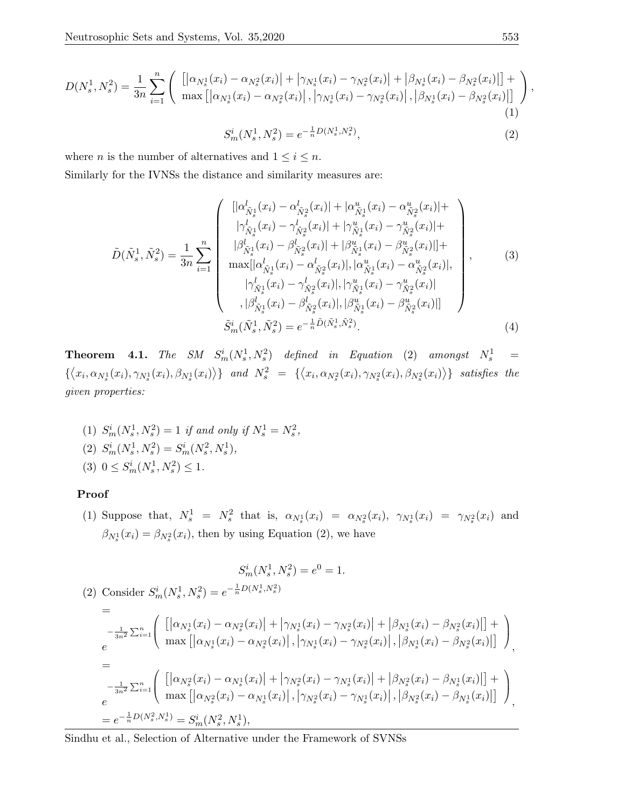$$
D(N_s^1, N_s^2) = \frac{1}{3n} \sum_{i=1}^n \left( \begin{array}{c} \left[ \left| \alpha_{N_s^1}(x_i) - \alpha_{N_s^2}(x_i) \right| + \left| \gamma_{N_s^1}(x_i) - \gamma_{N_s^2}(x_i) \right| + \left| \beta_{N_s^1}(x_i) - \beta_{N_s^2}(x_i) \right| \right] + \\ \max \left[ \left| \alpha_{N_s^1}(x_i) - \alpha_{N_s^2}(x_i) \right|, \left| \gamma_{N_s^1}(x_i) - \gamma_{N_s^2}(x_i) \right|, \left| \beta_{N_s^1}(x_i) - \beta_{N_s^2}(x_i) \right| \right] \end{array} \right) \tag{1}
$$

$$
S_m^i(N_s^1, N_s^2) = e^{-\frac{1}{n}D(N_s^1, N_s^2)},\tag{2}
$$

where *n* is the number of alternatives and  $1 \leq i \leq n$ .

Similarly for the IVNSs the distance and similarity measures are:

$$
\tilde{D}(\tilde{N}_{s}^{1}, \tilde{N}_{s}^{2}) = \frac{1}{3n} \sum_{i=1}^{n} \begin{pmatrix} [|\alpha_{\tilde{N}_{s}^{1}}^{l}(x_{i}) - \alpha_{\tilde{N}_{s}^{2}}^{l}(x_{i})| + |\alpha_{\tilde{N}_{s}^{1}}^{u}(x_{i}) - \alpha_{\tilde{N}_{s}^{2}}^{u}(x_{i})| + \\ |\gamma_{\tilde{N}_{s}^{1}}^{l}(x_{i}) - \gamma_{\tilde{N}_{s}^{2}}^{l}(x_{i})| + |\gamma_{\tilde{N}_{s}^{1}}^{u}(x_{i}) - \gamma_{\tilde{N}_{s}^{2}}^{u}(x_{i})| + \\ |\beta_{\tilde{N}_{s}^{1}}^{l}(x_{i}) - \beta_{\tilde{N}_{s}^{2}}^{l}(x_{i})| + |\beta_{\tilde{N}_{s}^{1}}^{u}(x_{i}) - \beta_{\tilde{N}_{s}^{2}}^{u}(x_{i})| + \\ \max[|\alpha_{\tilde{N}_{s}^{1}}^{l}(x_{i}) - \alpha_{\tilde{N}_{s}^{2}}^{l}(x_{i})|, |\alpha_{\tilde{N}_{s}^{1}}^{u}(x_{i}) - \alpha_{\tilde{N}_{s}^{2}}^{u}(x_{i})|, \\ |\gamma_{\tilde{N}_{s}^{1}}^{l}(x_{i}) - \gamma_{\tilde{N}_{s}^{2}}^{l}(x_{i})|, |\gamma_{\tilde{N}_{s}^{1}}^{u}(x_{i}) - \gamma_{\tilde{N}_{s}^{2}}^{u}(x_{i})| + \\ |\beta_{\tilde{N}_{s}^{1}}^{l}(x_{i}) - \beta_{\tilde{N}_{s}^{2}}^{l}(x_{i})|, |\beta_{\tilde{N}_{s}^{1}}^{u}(x_{i}) - \beta_{\tilde{N}_{s}^{2}}^{u}(x_{i})|] \end{pmatrix},
$$
\n(3)\n
$$
\tilde{S}_{m}^{i}(\tilde{N}_{s}^{1}, \tilde{N}_{s}^{2}) = e^{-\frac{1}{n}\tilde{D}(\tilde{N}_{s}^{1}, \tilde{N}_{s}^{2})}.
$$
\n(4)

**Theorem 4.1.** The SM  $S_m^i(N_s^1, N_s^2)$  defined in Equation (2) amongst  $N_s^1$  =  $\{\langle x_i,\alpha_{N_s^1}(x_i),\gamma_{N_s^1}(x_i),\beta_{N_s^1}(x_i)\rangle\}$  and  $N_s^2 = \{\langle x_i,\alpha_{N_s^2}(x_i),\gamma_{N_s^2}(x_i),\beta_{N_s^2}(x_i)\rangle\}$  satisfies the given properties:

- (1)  $S_m^i(N_s^1, N_s^2) = 1$  if and only if  $N_s^1 = N_s^2$ , (2)  $S_m^i(N_s^1, N_s^2) = S_m^i(N_s^2, N_s^1),$
- (3)  $0 \leq S_m^i(N_s^1, N_s^2) \leq 1$ .

# Proof

(1) Suppose that,  $N_s^1 = N_s^2$  that is,  $\alpha_{N_s^1}(x_i) = \alpha_{N_s^2}(x_i)$ ,  $\gamma_{N_s^1}(x_i) = \gamma_{N_s^2}(x_i)$  and  $\beta_{N_s^1}(x_i) = \beta_{N_s^2}(x_i)$ , then by using Equation (2), we have

$$
S_{m}^{i}(N_{s}^{1}, N_{s}^{2}) = e^{0} = 1.
$$
\n
$$
(2) \text{ Consider } S_{m}^{i}(N_{s}^{1}, N_{s}^{2}) = e^{-\frac{1}{n}D(N_{s}^{1}, N_{s}^{2})}
$$
\n
$$
= -\frac{1}{3n^{2}} \sum_{i=1}^{n} \left( \left[ \left| \alpha_{N_{s}^{1}}(x_{i}) - \alpha_{N_{s}^{2}}(x_{i}) \right| + \left| \gamma_{N_{s}^{1}}(x_{i}) - \gamma_{N_{s}^{2}}(x_{i}) \right| + \left| \beta_{N_{s}^{1}}(x_{i}) - \beta_{N_{s}^{2}}(x_{i}) \right| \right] + \right)
$$
\n
$$
= -\frac{1}{3n^{2}} \sum_{i=1}^{n} \left( \left[ \left| \alpha_{N_{s}^{1}}(x_{i}) - \alpha_{N_{s}^{2}}(x_{i}) \right|, \left| \gamma_{N_{s}^{1}}(x_{i}) - \gamma_{N_{s}^{2}}(x_{i}) \right|, \left| \beta_{N_{s}^{1}}(x_{i}) - \beta_{N_{s}^{2}}(x_{i}) \right| \right] \right),
$$
\n
$$
= -\frac{1}{3n^{2}} \sum_{i=1}^{n} \left( \left[ \left| \alpha_{N_{s}^{2}}(x_{i}) - \alpha_{N_{s}^{1}}(x_{i}) \right| + \left| \gamma_{N_{s}^{2}}(x_{i}) - \gamma_{N_{s}^{1}}(x_{i}) \right| + \left| \beta_{N_{s}^{2}}(x_{i}) - \beta_{N_{s}^{1}}(x_{i}) \right| \right] + \right)
$$
\n
$$
= e^{-\frac{1}{n}D(N_{s}^{2}, N_{s}^{1})} = S_{m}^{i}(N_{s}^{2}, N_{s}^{1}),
$$
\n
$$
(N_{s}^{2}, N_{s}^{1}) = S_{m}^{i}(N_{s}^{2}, N_{s}^{1}),
$$

Sindhu et al., Selection of Alternative under the Framework of SVNSs

,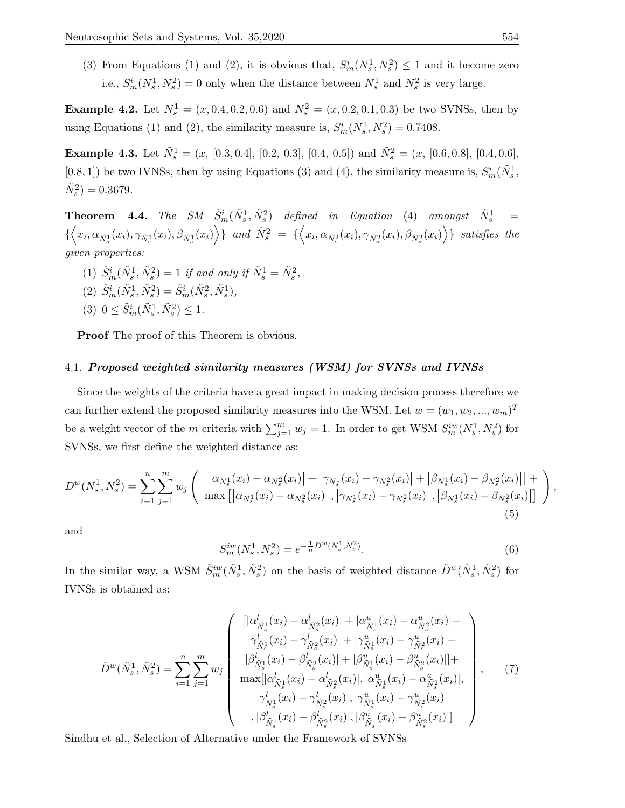(3) From Equations (1) and (2), it is obvious that,  $S_m^i(N_s^1, N_s^2) \leq 1$  and it become zero i.e.,  $S_m^i(N_s^1, N_s^2) = 0$  only when the distance between  $N_s^1$  and  $N_s^2$  is very large.

**Example 4.2.** Let  $N_s^1 = (x, 0.4, 0.2, 0.6)$  and  $N_s^2 = (x, 0.2, 0.1, 0.3)$  be two SVNSs, then by using Equations (1) and (2), the similarity measure is,  $S_m^i(N_s^1, N_s^2) = 0.7408$ .

**Example 4.3.** Let  $\tilde{N}_s^1 = (x, [0.3, 0.4], [0.2, 0.3], [0.4, 0.5])$  and  $\tilde{N}_s^2 = (x, [0.6, 0.8], [0.4, 0.6],$ [0.8, 1]) be two IVNSs, then by using Equations (3) and (4), the similarity measure is,  $S_m^i(\tilde{N}_s^1,$  $\tilde{N}_s^2$ ) = 0.3679.

**Theorem 4.4.** The SM  $\tilde{S}_m^i(\tilde{N}_s^1, \tilde{N}_s^2)$  defined in Equation (4) amongst  $\tilde{N}_s^1$  =  $\{\left\langle x_i,\alpha_{\tilde N^1_s}(x_i),\gamma_{\tilde N^1_s}(x_i),\beta_{\tilde N^1_s}(x_i)\right\rangle\}$  and  $\tilde N^2_s \;=\; \{\left\langle x_i,\alpha_{\tilde N^2_s}(x_i),\gamma_{\tilde N^2_s}(x_i),\beta_{\tilde N^2_s}(x_i)\right\rangle\}$  satisfies the given properties:

- (1)  $\tilde{S}_m^i(\tilde{N}_s^1, \tilde{N}_s^2) = 1$  if and only if  $\tilde{N}_s^1 = \tilde{N}_s^2$ ,
- (2)  $\tilde{S}^i_m(\tilde{N}^1_s, \tilde{N}^2_s) = \tilde{S}^i_m(\tilde{N}^2_s, \tilde{N}^1_s),$
- (3)  $0 \le \tilde{S}_m^i(\tilde{N}_s^1, \tilde{N}_s^2) \le 1.$

Proof The proof of this Theorem is obvious.

#### 4.1. Proposed weighted similarity measures (WSM) for SVNSs and IVNSs

Since the weights of the criteria have a great impact in making decision process therefore we can further extend the proposed similarity measures into the WSM. Let  $w = (w_1, w_2, ..., w_m)^T$ be a weight vector of the m criteria with  $\sum_{j=1}^{m} w_j = 1$ . In order to get WSM  $S_m^{iw}(N_s^1, N_s^2)$  for SVNSs, we first define the weighted distance as:

$$
D^{w}(N_{s}^{1}, N_{s}^{2}) = \sum_{i=1}^{n} \sum_{j=1}^{m} w_{j} \left( \begin{array}{c} \left[ \left| \alpha_{N_{s}^{1}}(x_{i}) - \alpha_{N_{s}^{2}}(x_{i}) \right| + \left| \gamma_{N_{s}^{1}}(x_{i}) - \gamma_{N_{s}^{2}}(x_{i}) \right| + \left| \beta_{N_{s}^{1}}(x_{i}) - \beta_{N_{s}^{2}}(x_{i}) \right| \right] + \\ \max \left[ \left| \alpha_{N_{s}^{1}}(x_{i}) - \alpha_{N_{s}^{2}}(x_{i}) \right|, \left| \gamma_{N_{s}^{1}}(x_{i}) - \gamma_{N_{s}^{2}}(x_{i}) \right|, \left| \beta_{N_{s}^{1}}(x_{i}) - \beta_{N_{s}^{2}}(x_{i}) \right| \right] \end{array} \right), \tag{5}
$$

and

$$
S_m^{iw}(N_s^1, N_s^2) = e^{-\frac{1}{n}D^w(N_s^1, N_s^2)}.
$$
\n(6)

In the similar way, a WSM  $\tilde{S}^{iw}_m(\tilde{N}_s^1, \tilde{N}_s^2)$  on the basis of weighted distance  $\tilde{D}^w(\tilde{N}_s^1, \tilde{N}_s^2)$  for IVNSs is obtained as:

$$
\tilde{D}^{w}(\tilde{N}_{s}^{1},\tilde{N}_{s}^{2}) = \sum_{i=1}^{n} \sum_{j=1}^{m} w_{j} \begin{pmatrix} [|\alpha_{\tilde{N}_{s}^{1}}^{1}(x_{i}) - \alpha_{\tilde{N}_{s}^{2}}^{1}(x_{i})| + |\alpha_{\tilde{N}_{s}^{1}}^{u}(x_{i}) - \alpha_{\tilde{N}_{s}^{2}}^{u}(x_{i})| + \\ |\gamma_{\tilde{N}_{s}^{1}}^{1}(x_{i}) - \gamma_{\tilde{N}_{s}^{2}}^{1}(x_{i})| + |\gamma_{\tilde{N}_{s}^{1}}^{u}(x_{i}) - \gamma_{\tilde{N}_{s}^{2}}^{u}(x_{i})| + \\ |\beta_{\tilde{N}_{s}^{1}}^{1}(x_{i}) - \beta_{\tilde{N}_{s}^{2}}^{1}(x_{i})| + |\beta_{\tilde{N}_{s}^{1}}^{u}(x_{i}) - \beta_{\tilde{N}_{s}^{2}}^{u}(x_{i})| + \\ \max[|\alpha_{\tilde{N}_{s}^{1}}^{1}(x_{i}) - \alpha_{\tilde{N}_{s}^{2}}^{1}(x_{i})|, |\alpha_{\tilde{N}_{s}^{1}}^{u}(x_{i}) - \alpha_{\tilde{N}_{s}^{2}}^{u}(x_{i})|, \\ |\gamma_{\tilde{N}_{s}^{1}}^{l}(x_{i}) - \gamma_{\tilde{N}_{s}^{2}}^{l}(x_{i})|, |\gamma_{\tilde{N}_{s}^{1}}^{u}(x_{i}) - \gamma_{\tilde{N}_{s}^{2}}^{u}(x_{i})| \end{pmatrix}, \qquad (7)
$$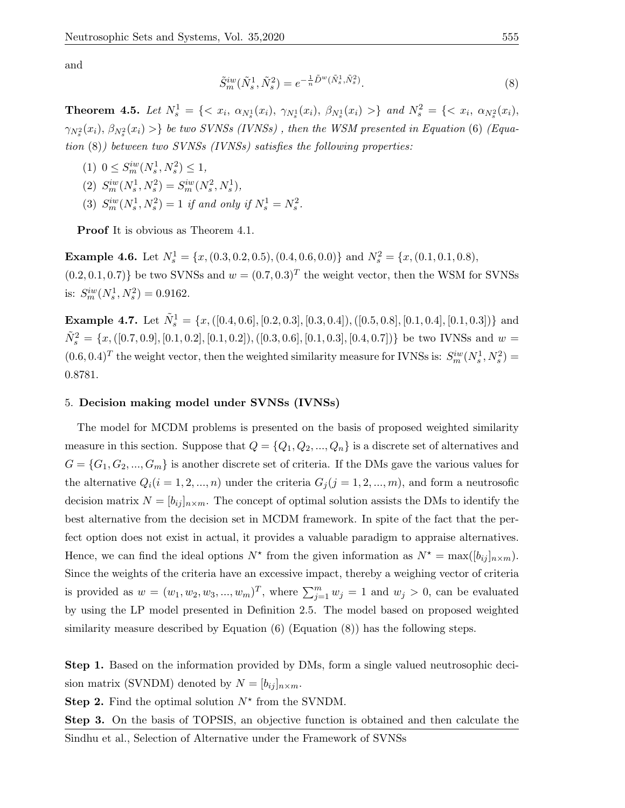and

$$
\tilde{S}^{iw}_m(\tilde{N}_s^1, \tilde{N}_s^2) = e^{-\frac{1}{n}\tilde{D}^w(\tilde{N}_s^1, \tilde{N}_s^2)}.
$$
\n(8)

**Theorem 4.5.** Let  $N_s^1 = \{ \langle x_i, \alpha_{N_s^1}(x_i), \gamma_{N_s^1}(x_i), \beta_{N_s^1}(x_i) \rangle \}$  and  $N_s^2 = \{ \langle x_i, \alpha_{N_s^2}(x_i), \gamma_{N_s^2}(x_i) \rangle \}$  $\gamma_{N_s^2}(x_i), \, \beta_{N_s^2}(x_i) >\}$  be two SVNSs (IVNSs), then the WSM presented in Equation (6) (Equation  $(8)$ ) between two SVNSs (IVNSs) satisfies the following properties:

(1)  $0 \le S_m^{iw}(N_s^1, N_s^2) \le 1$ , (2)  $S_m^{iw}(N_s^1, N_s^2) = S_m^{iw}(N_s^2, N_s^1),$ (3)  $S_m^{iw}(N_s^1, N_s^2) = 1$  if and only if  $N_s^1 = N_s^2$ .

Proof It is obvious as Theorem 4.1.

**Example 4.6.** Let  $N_s^1 = \{x, (0.3, 0.2, 0.5), (0.4, 0.6, 0.0)\}$  and  $N_s^2 = \{x, (0.1, 0.1, 0.8),$  $(0.2, 0.1, 0.7)$  be two SVNSs and  $w = (0.7, 0.3)^T$  the weight vector, then the WSM for SVNSs is:  $S_m^{\text{iw}}(N_s^1, N_s^2) = 0.9162$ .

**Example 4.7.** Let  $\tilde{N}_s^1 = \{x, ([0.4, 0.6], [0.2, 0.3], [0.3, 0.4]), ([0.5, 0.8], [0.1, 0.4], [0.1, 0.3])\}$  and  $\tilde{N}_s^2 = \{x, ([0.7, 0.9], [0.1, 0.2], [0.1, 0.2]), ([0.3, 0.6], [0.1, 0.3], [0.4, 0.7])\}$  be two IVNSs and  $w =$  $(0.6, 0.4)^T$  the weight vector, then the weighted similarity measure for IVNSs is:  $S_m^{iw}(N_s^1, N_s^2)$ 0.8781.

# 5. Decision making model under SVNSs (IVNSs)

The model for MCDM problems is presented on the basis of proposed weighted similarity measure in this section. Suppose that  $Q = \{Q_1, Q_2, ..., Q_n\}$  is a discrete set of alternatives and  $G = \{G_1, G_2, ..., G_m\}$  is another discrete set of criteria. If the DMs gave the various values for the alternative  $Q_i(i = 1, 2, ..., n)$  under the criteria  $G_j(j = 1, 2, ..., m)$ , and form a neutrosofic decision matrix  $N = [b_{ij}]_{n \times m}$ . The concept of optimal solution assists the DMs to identify the best alternative from the decision set in MCDM framework. In spite of the fact that the perfect option does not exist in actual, it provides a valuable paradigm to appraise alternatives. Hence, we can find the ideal options  $N^*$  from the given information as  $N^* = \max([b_{ij}]_{n \times m})$ . Since the weights of the criteria have an excessive impact, thereby a weighing vector of criteria is provided as  $w = (w_1, w_2, w_3, ..., w_m)^T$ , where  $\sum_{j=1}^m w_j = 1$  and  $w_j > 0$ , can be evaluated by using the LP model presented in Definition 2.5. The model based on proposed weighted similarity measure described by Equation (6) (Equation (8)) has the following steps.

Step 1. Based on the information provided by DMs, form a single valued neutrosophic decision matrix (SVNDM) denoted by  $N = [b_{ij}]_{n \times m}$ .

**Step 2.** Find the optimal solution  $N^*$  from the SVNDM.

Step 3. On the basis of TOPSIS, an objective function is obtained and then calculate the Sindhu et al., Selection of Alternative under the Framework of SVNSs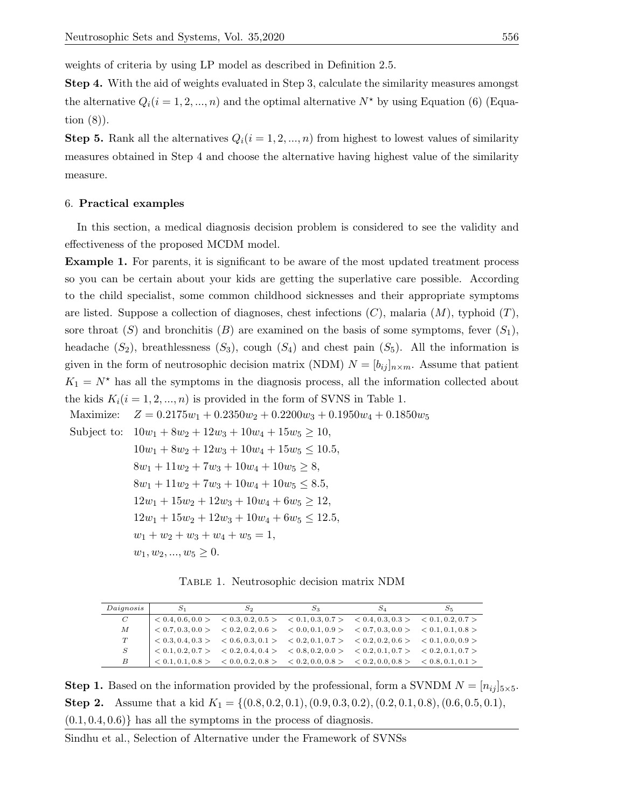weights of criteria by using LP model as described in Definition 2.5.

Step 4. With the aid of weights evaluated in Step 3, calculate the similarity measures amongst the alternative  $Q_i(i = 1, 2, ..., n)$  and the optimal alternative  $N^*$  by using Equation (6) (Equation (8)).

**Step 5.** Rank all the alternatives  $Q_i(i = 1, 2, ..., n)$  from highest to lowest values of similarity measures obtained in Step 4 and choose the alternative having highest value of the similarity measure.

#### 6. Practical examples

In this section, a medical diagnosis decision problem is considered to see the validity and effectiveness of the proposed MCDM model.

Example 1. For parents, it is significant to be aware of the most updated treatment process so you can be certain about your kids are getting the superlative care possible. According to the child specialist, some common childhood sicknesses and their appropriate symptoms are listed. Suppose a collection of diagnoses, chest infections  $(C)$ , malaria  $(M)$ , typhoid  $(T)$ , sore throat  $(S)$  and bronchitis  $(B)$  are examined on the basis of some symptoms, fever  $(S_1)$ , headache  $(S_2)$ , breathlessness  $(S_3)$ , cough  $(S_4)$  and chest pain  $(S_5)$ . All the information is given in the form of neutrosophic decision matrix (NDM)  $N = [b_{ij}]_{n \times m}$ . Assume that patient  $K_1 = N^*$  has all the symptoms in the diagnosis process, all the information collected about the kids  $K_i(i = 1, 2, ..., n)$  is provided in the form of SVNS in Table 1.

Maximize:  $Z = 0.2175w_1 + 0.2350w_2 + 0.2200w_3 + 0.1950w_4 + 0.1850w_5$ Subject to:  $10w_1 + 8w_2 + 12w_3 + 10w_4 + 15w_5 \ge 10$ ,  $10w_1 + 8w_2 + 12w_3 + 10w_4 + 15w_5 \le 10.5$  $8w_1 + 11w_2 + 7w_3 + 10w_4 + 10w_5 \geq 8$  $8w_1 + 11w_2 + 7w_3 + 10w_4 + 10w_5 \leq 8.5$  $12w_1 + 15w_2 + 12w_3 + 10w_4 + 6w_5 \ge 12$  $12w_1 + 15w_2 + 12w_3 + 10w_4 + 6w_5 \le 12.5$  $w_1 + w_2 + w_3 + w_4 + w_5 = 1$ ,  $w_1, w_2, ..., w_5 \geq 0.$ 

Table 1. Neutrosophic decision matrix NDM

| Daiqnosis | $S_2$                                                                                                                                                                 | $S_A$ | 55 |
|-----------|-----------------------------------------------------------------------------------------------------------------------------------------------------------------------|-------|----|
| $\,C$     | $\vert \langle 0.4, 0.6, 0.0 \rangle$ $\langle 0.3, 0.2, 0.5 \rangle$ $\langle 0.1, 0.3, 0.7 \rangle$ $\langle 0.4, 0.3, 0.3 \rangle$ $\langle 0.1, 0.2, 0.7 \rangle$ |       |    |
| M         | $\big ~ < 0.7, 0.3, 0.0>~< 0.2, 0.2, 0.6>~< 0.0, 0.1, 0.9>~< 0.7, 0.3, 0.0>~< 0.1, 0.1, 0.8>$                                                                         |       |    |
| T         | $\big  < 0.3, 0.4, 0.3> \quad < 0.6, 0.3, 0.1> \quad < 0.2, 0.1, 0.7> \quad < 0.2, 0.2, 0.6> \quad < 0.1, 0.0, 0.9>$                                                  |       |    |
| S         | $\vert$ < 0.1, 0.2, 0.7 > < 0.2, 0.4, 0.4 > < 0.8, 0.2, 0.0 > < 0.2, 0.1, 0.7 > < 0.2, 0.1, 0.7 >                                                                     |       |    |
| В         | $\vert$ < 0.1, 0.1, 0.8 > < 0.0, 0.2, 0.8 > < 0.2, 0.0, 0.8 > < 0.2, 0.0, 0.8 > < 0.8, 0.1, 0.1 >                                                                     |       |    |

**Step 1.** Based on the information provided by the professional, form a SVNDM  $N = [n_{ij}]_{5\times 5}$ . **Step 2.** Assume that a kid  $K_1 = \{(0.8, 0.2, 0.1), (0.9, 0.3, 0.2), (0.2, 0.1, 0.8), (0.6, 0.5, 0.1),$  $(0.1, 0.4, 0.6)$  has all the symptoms in the process of diagnosis.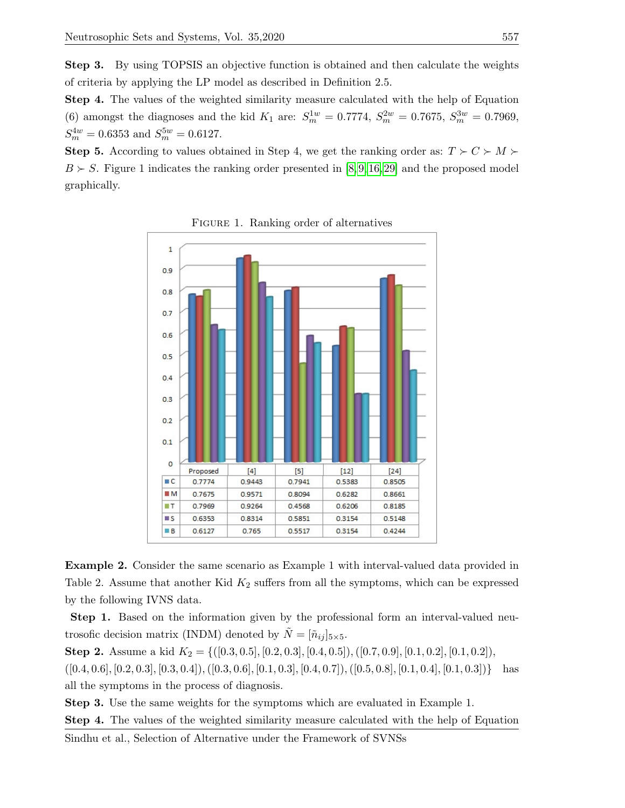Step 3. By using TOPSIS an objective function is obtained and then calculate the weights of criteria by applying the LP model as described in Definition 2.5.

Step 4. The values of the weighted similarity measure calculated with the help of Equation (6) amongst the diagnoses and the kid  $K_1$  are:  $S_m^{1w} = 0.7774$ ,  $S_m^{2w} = 0.7675$ ,  $S_m^{3w} = 0.7969$ ,  $S_m^{4w} = 0.6353$  and  $S_m^{5w} = 0.6127$ .

**Step 5.** According to values obtained in Step 4, we get the ranking order as:  $T \succ C \succ M$  $B \succ S$ . Figure 1 indicates the ranking order presented in [\[8,](#page-14-13)9,16,29] and the proposed model graphically.



FIGURE 1. Ranking order of alternatives

Example 2. Consider the same scenario as Example 1 with interval-valued data provided in Table 2. Assume that another Kid  $K_2$  suffers from all the symptoms, which can be expressed by the following IVNS data.

Step 1. Based on the information given by the professional form an interval-valued neutrosofic decision matrix (INDM) denoted by  $\tilde{N} = [\tilde{n}_{ij}]_{5\times 5}.$ 

Step 2. Assume a kid  $K_2 = \{([0.3, 0.5], [0.2, 0.3], [0.4, 0.5]), ([0.7, 0.9], [0.1, 0.2], [0.1, 0.2]\}$  $([0.4, 0.6], [0.2, 0.3], [0.3, 0.4]), ([0.3, 0.6], [0.1, 0.3], [0.4, 0.7]), ([0.5, 0.8], [0.1, 0.4], [0.1, 0.3])\}$  has all the symptoms in the process of diagnosis.

Step 3. Use the same weights for the symptoms which are evaluated in Example 1.

Step 4. The values of the weighted similarity measure calculated with the help of Equation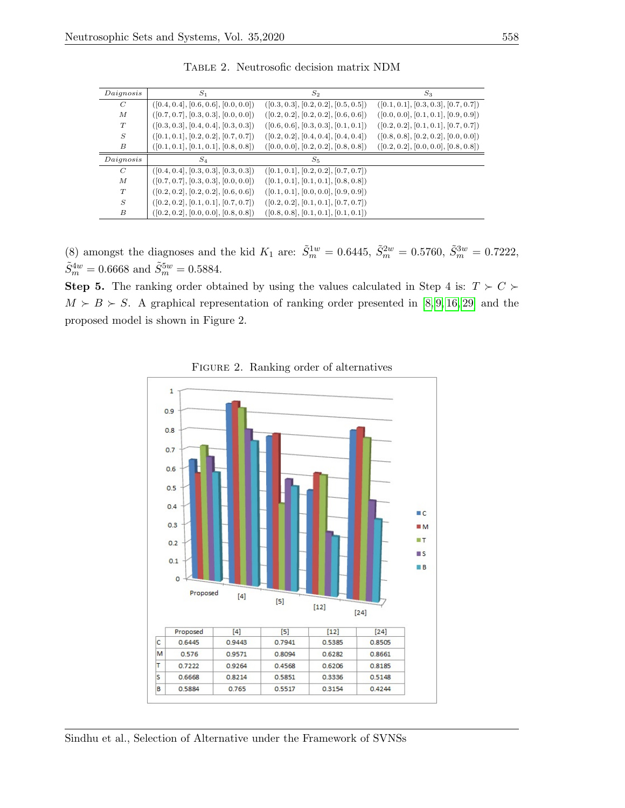| Daignosis        | $S_1$                                | $S_2$                                | $S_3$                                |
|------------------|--------------------------------------|--------------------------------------|--------------------------------------|
| C                | ([0.4, 0.4], [0.6, 0.6], [0.0, 0.0]) | ([0.3, 0.3], [0.2, 0.2], [0.5, 0.5]) | ([0.1, 0.1], [0.3, 0.3], [0.7, 0.7]) |
| М                | ([0.7, 0.7], [0.3, 0.3], [0.0, 0.0]) | ([0.2, 0.2], [0.2, 0.2], [0.6, 0.6]) | ([0.0, 0.0], [0.1, 0.1], [0.9, 0.9]) |
| T                | ([0.3, 0.3], [0.4, 0.4], [0.3, 0.3]) | ([0.6, 0.6], [0.3, 0.3], [0.1, 0.1]) | ([0.2, 0.2], [0.1, 0.1], [0.7, 0.7]) |
| S                | ([0.1, 0.1], [0.2, 0.2], [0.7, 0.7]) | ([0.2, 0.2], [0.4, 0.4], [0.4, 0.4]) | ([0.8, 0.8], [0.2, 0.2], [0.0, 0.0]) |
| B                | ([0.1, 0.1], [0.1, 0.1], [0.8, 0.8]) | ([0.0, 0.0], [0.2, 0.2], [0.8, 0.8]) | ([0.2, 0.2], [0.0, 0.0], [0.8, 0.8]) |
| Daignosis        | $S_4$                                | $S_{5}$                              |                                      |
| C                | ([0.4, 0.4], [0.3, 0.3], [0.3, 0.3]) | ([0.1, 0.1], [0.2, 0.2], [0.7, 0.7]) |                                      |
| $\boldsymbol{M}$ | ([0.7, 0.7], [0.3, 0.3], [0.0, 0.0]) | ([0.1, 0.1], [0.1, 0.1], [0.8, 0.8]) |                                      |
| T                | ([0.2, 0.2], [0.2, 0.2], [0.6, 0.6]) | ([0.1, 0.1], [0.0, 0.0], [0.9, 0.9]) |                                      |
| S                | ([0.2, 0.2], [0.1, 0.1], [0.7, 0.7]) | ([0.2, 0.2], [0.1, 0.1], [0.7, 0.7]) |                                      |
| B                | ([0.2, 0.2], [0.0, 0.0], [0.8, 0.8]) | ([0.8, 0.8], [0.1, 0.1], [0.1, 0.1]) |                                      |

Table 2. Neutrosofic decision matrix NDM

(8) amongst the diagnoses and the kid  $K_1$  are:  $\tilde{S}_m^{1w} = 0.6445$ ,  $\tilde{S}_m^{2w} = 0.5760$ ,  $\tilde{S}_m^{3w} = 0.7222$ ,  $\tilde{S}_m^{4w} = 0.6668$  and  $\tilde{S}_m^{5w} = 0.5884$ .

**Step 5.** The ranking order obtained by using the values calculated in Step 4 is:  $T \succ C$  $M \succ B \succ S$ . A graphical representation of ranking order presented in [\[8,](#page-14-13) [9,](#page-14-14) [16,](#page-14-15) [29\]](#page-15-12) and the proposed model is shown in Figure 2.



FIGURE 2. Ranking order of alternatives

Sindhu et al., Selection of Alternative under the Framework of SVNSs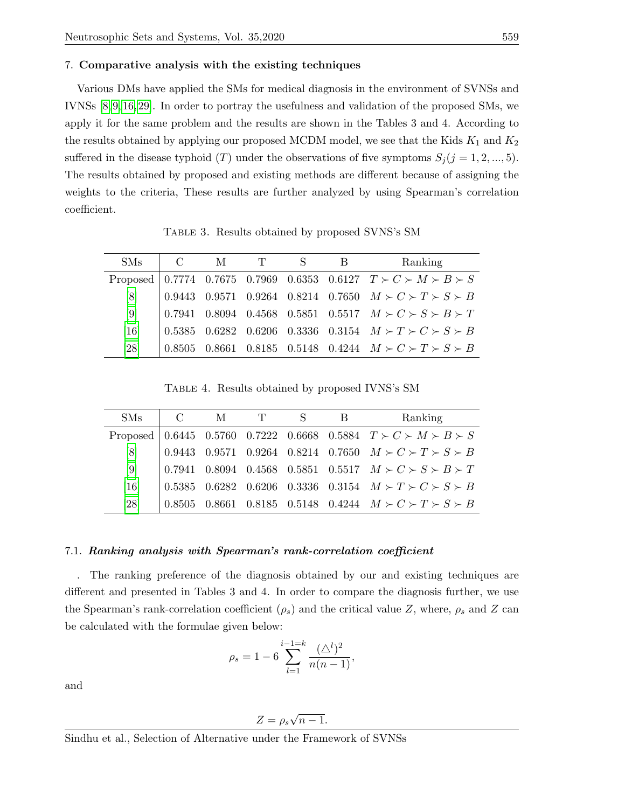#### 7. Comparative analysis with the existing techniques

Various DMs have applied the SMs for medical diagnosis in the environment of SVNSs and IVNSs [\[8,](#page-14-13) [9,](#page-14-14) [16,](#page-14-15) [29\]](#page-15-12). In order to portray the usefulness and validation of the proposed SMs, we apply it for the same problem and the results are shown in the Tables 3 and 4. According to the results obtained by applying our proposed MCDM model, we see that the Kids  $K_1$  and  $K_2$ suffered in the disease typhoid (T) under the observations of five symptoms  $S_j$  (j = 1, 2, ..., 5). The results obtained by proposed and existing methods are different because of assigning the weights to the criteria, These results are further analyzed by using Spearman's correlation coefficient.

Table 3. Results obtained by proposed SVNS's SM

| <b>SMs</b>       | $C_{\perp}$ | M | T | B | Ranking                                                                |
|------------------|-------------|---|---|---|------------------------------------------------------------------------|
|                  |             |   |   |   | Proposed 0.7774 0.7675 0.7969 0.6353 0.6127 $T > C > M > B > S$        |
| [8]              |             |   |   |   | 0.9443 0.9571 0.9264 0.8214 0.7650 $M \succ C \succ T \succ S \succ B$ |
| $\left[9\right]$ |             |   |   |   | 0.7941 0.8094 0.4568 0.5851 0.5517 $M \succ C \succ S \succ B \succ T$ |
| [16]             |             |   |   |   | 0.5385 0.6282 0.6206 0.3336 0.3154 $M \succ T \succ C \succ S \succ B$ |
| [28]             | 0.8505      |   |   |   | 0.8661 0.8185 0.5148 0.4244 $M \succ C \succ T \succ S \succ B$        |

Table 4. Results obtained by proposed IVNS's SM

| <b>SMs</b> | $C_{\perp}$ | M | $\mathbf{T}$ | B | Ranking                                                                                                            |
|------------|-------------|---|--------------|---|--------------------------------------------------------------------------------------------------------------------|
|            |             |   |              |   | Proposed   0.6445    0.5760    0.7222    0.6668    0.5884 $T \succ C \succ M \succ B \succ S$                      |
| [8]        |             |   |              |   | 0.9443 0.9571 0.9264 0.8214 0.7650 $M \succ C \succ T \succ S \succ B$                                             |
| [9]        |             |   |              |   | $\begin{array}{cccccc} 0.7941 & 0.8094 & 0.4568 & 0.5851 & 0.5517 & M \succ C \succ S \succ B \succ T \end{array}$ |
| [16]       |             |   |              |   | 0.5385 0.6282 0.6206 0.3336 0.3154 $M \succ T \succ C \succ S \succ B$                                             |
| [28]       | 0.8505      |   |              |   | 0.8661 0.8185 0.5148 0.4244 $M \succ C \succ T \succ S \succ B$                                                    |

#### 7.1. Ranking analysis with Spearman's rank-correlation coefficient

. The ranking preference of the diagnosis obtained by our and existing techniques are different and presented in Tables 3 and 4. In order to compare the diagnosis further, we use the Spearman's rank-correlation coefficient  $(\rho_s)$  and the critical value Z, where,  $\rho_s$  and Z can be calculated with the formulae given below:

$$
\rho_s = 1 - 6 \sum_{l=1}^{i-1=k} \frac{(\triangle^l)^2}{n(n-1)},
$$

and

$$
Z = \rho_s \sqrt{n-1}.
$$

Sindhu et al., Selection of Alternative under the Framework of SVNSs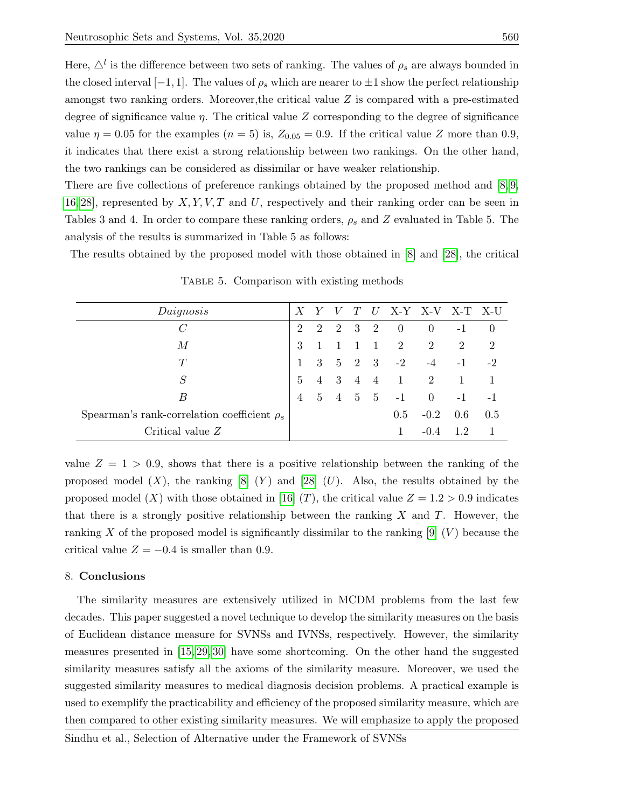Here,  $\Delta^{l}$  is the difference between two sets of ranking. The values of  $\rho_{s}$  are always bounded in the closed interval  $[-1, 1]$ . The values of  $\rho_s$  which are nearer to  $\pm 1$  show the perfect relationship amongst two ranking orders. Moreover,the critical value Z is compared with a pre-estimated degree of significance value  $\eta$ . The critical value Z corresponding to the degree of significance value  $\eta = 0.05$  for the examples  $(n = 5)$  is,  $Z_{0.05} = 0.9$ . If the critical value Z more than 0.9, it indicates that there exist a strong relationship between two rankings. On the other hand, the two rankings can be considered as dissimilar or have weaker relationship.

There are five collections of preference rankings obtained by the proposed method and [\[8,](#page-14-13) [9,](#page-14-14)] [16,](#page-14-15) [28\]](#page-15-4), represented by  $X, Y, V, T$  and U, respectively and their ranking order can be seen in Tables 3 and 4. In order to compare these ranking orders,  $\rho_s$  and Z evaluated in Table 5. The analysis of the results is summarized in Table 5 as follows:

The results obtained by the proposed model with those obtained in [\[8\]](#page-14-13) and [\[28\]](#page-15-4), the critical

| $\mathcal{D}_{\cdot}$ |               |                |                                                                             | $\theta$                                         | $-1$           |                     |
|-----------------------|---------------|----------------|-----------------------------------------------------------------------------|--------------------------------------------------|----------------|---------------------|
| 3                     |               |                | 2                                                                           | 2                                                | 2              | $\overline{2}$      |
|                       | 3             |                |                                                                             | $-4$                                             | $-1$           | $-2$                |
| $\mathbf{5}$          |               |                |                                                                             |                                                  | $\overline{1}$ |                     |
| $\overline{4}$        | $\frac{5}{2}$ |                |                                                                             | $\overline{0}$                                   | $-1$           |                     |
|                       |               |                | 0.5                                                                         | $-0.2$                                           | 0.6            | 0.5                 |
|                       |               |                | 1                                                                           | $-0.4$                                           | 12             |                     |
|                       |               | $\overline{2}$ | T<br>2 3 2<br>$1\quad1$<br>$4 \quad 3 \quad 4 \quad 4$<br>$4\quad 5\quad 5$ | $\hspace{0.6cm}0$<br>$5 \t 2 \t 3 \t -2$<br>$-1$ | 1 2            | $U$ X-Y X-V X-T X-U |

Table 5. Comparison with existing methods

value  $Z = 1 > 0.9$ , shows that there is a positive relationship between the ranking of the proposed model  $(X)$ , the ranking  $[8] (Y)$  $[8] (Y)$  and  $[28] (U)$  $[28] (U)$ . Also, the results obtained by the proposed model (X) with those obtained in [\[16\]](#page-14-15) (T), the critical value  $Z = 1.2 > 0.9$  indicates that there is a strongly positive relationship between the ranking  $X$  and  $T$ . However, the ranking X of the proposed model is significantly dissimilar to the ranking  $[9] (V)$  $[9] (V)$  because the critical value  $Z = -0.4$  is smaller than 0.9.

### 8. Conclusions

The similarity measures are extensively utilized in MCDM problems from the last few decades. This paper suggested a novel technique to develop the similarity measures on the basis of Euclidean distance measure for SVNSs and IVNSs, respectively. However, the similarity measures presented in [\[15,](#page-14-12) [29,](#page-15-12) [30\]](#page-15-5) have some shortcoming. On the other hand the suggested similarity measures satisfy all the axioms of the similarity measure. Moreover, we used the suggested similarity measures to medical diagnosis decision problems. A practical example is used to exemplify the practicability and efficiency of the proposed similarity measure, which are then compared to other existing similarity measures. We will emphasize to apply the proposed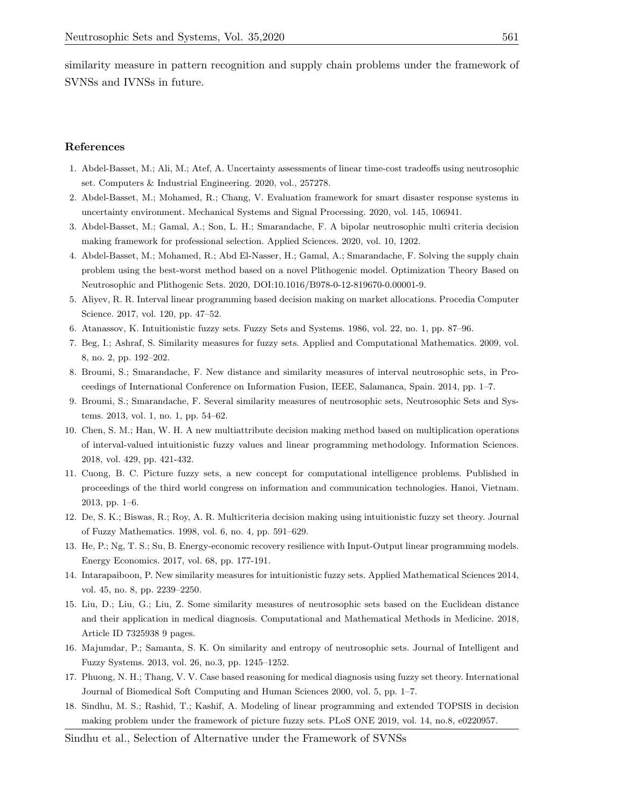similarity measure in pattern recognition and supply chain problems under the framework of SVNSs and IVNSs in future.

#### References

- <span id="page-14-4"></span>1. Abdel-Basset, M.; Ali, M.; Atef, A. Uncertainty assessments of linear time-cost tradeoffs using neutrosophic set. Computers & Industrial Engineering. 2020, vol., 257278.
- 2. Abdel-Basset, M.; Mohamed, R.; Chang, V. Evaluation framework for smart disaster response systems in uncertainty environment. Mechanical Systems and Signal Processing. 2020, vol. 145, 106941.
- 3. Abdel-Basset, M.; Gamal, A.; Son, L. H.; Smarandache, F. A bipolar neutrosophic multi criteria decision making framework for professional selection. Applied Sciences. 2020, vol. 10, 1202.
- <span id="page-14-5"></span>4. Abdel-Basset, M.; Mohamed, R.; Abd El-Nasser, H.; Gamal, A.; Smarandache, F. Solving the supply chain problem using the best-worst method based on a novel Plithogenic model. Optimization Theory Based on Neutrosophic and Plithogenic Sets. 2020, DOI:10.1016/B978-0-12-819670-0.00001-9.
- <span id="page-14-8"></span>5. Aliyev, R. R. Interval linear programming based decision making on market allocations. Procedia Computer Science. 2017, vol. 120, pp. 47–52.
- <span id="page-14-2"></span>6. Atanassov, K. Intuitionistic fuzzy sets. Fuzzy Sets and Systems. 1986, vol. 22, no. 1, pp. 87–96.
- <span id="page-14-6"></span>7. Beg, I.; Ashraf, S. Similarity measures for fuzzy sets. Applied and Computational Mathematics. 2009, vol. 8, no. 2, pp. 192–202.
- <span id="page-14-13"></span>8. Broumi, S.; Smarandache, F. New distance and similarity measures of interval neutrosophic sets, in Proceedings of International Conference on Information Fusion, IEEE, Salamanca, Spain. 2014, pp. 1–7.
- <span id="page-14-14"></span>9. Broumi, S.; Smarandache, F. Several similarity measures of neutrosophic sets, Neutrosophic Sets and Systems. 2013, vol. 1, no. 1, pp. 54–62.
- <span id="page-14-9"></span>10. Chen, S. M.; Han, W. H. A new multiattribute decision making method based on multiplication operations of interval-valued intuitionistic fuzzy values and linear programming methodology. Information Sciences. 2018, vol. 429, pp. 421-432.
- <span id="page-14-3"></span>11. Cuong, B. C. Picture fuzzy sets, a new concept for computational intelligence problems. Published in proceedings of the third world congress on information and communication technologies. Hanoi, Vietnam. 2013, pp. 1–6.
- <span id="page-14-0"></span>12. De, S. K.; Biswas, R.; Roy, A. R. Multicriteria decision making using intuitionistic fuzzy set theory. Journal of Fuzzy Mathematics. 1998, vol. 6, no. 4, pp. 591–629.
- <span id="page-14-10"></span>13. He, P.; Ng, T. S.; Su, B. Energy-economic recovery resilience with Input-Output linear programming models. Energy Economics. 2017, vol. 68, pp. 177-191.
- <span id="page-14-7"></span>14. Intarapaiboon, P. New similarity measures for intuitionistic fuzzy sets. Applied Mathematical Sciences 2014, vol. 45, no. 8, pp. 2239–2250.
- <span id="page-14-12"></span>15. Liu, D.; Liu, G.; Liu, Z. Some similarity measures of neutrosophic sets based on the Euclidean distance and their application in medical diagnosis. Computational and Mathematical Methods in Medicine. 2018, Article ID 7325938 9 pages.
- <span id="page-14-15"></span>16. Majumdar, P.; Samanta, S. K. On similarity and entropy of neutrosophic sets. Journal of Intelligent and Fuzzy Systems. 2013, vol. 26, no.3, pp. 1245–1252.
- <span id="page-14-1"></span>17. Phuong, N. H.; Thang, V. V. Case based reasoning for medical diagnosis using fuzzy set theory. International Journal of Biomedical Soft Computing and Human Sciences 2000, vol. 5, pp. 1–7.
- <span id="page-14-11"></span>18. Sindhu, M. S.; Rashid, T.; Kashif, A. Modeling of linear programming and extended TOPSIS in decision making problem under the framework of picture fuzzy sets. PLoS ONE 2019, vol. 14, no.8, e0220957.